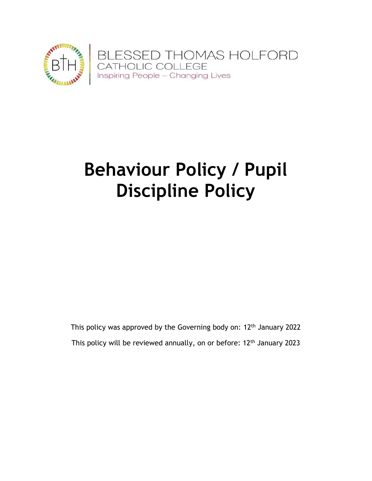

# **Behaviour Policy / Pupil Discipline Policy**

This policy was approved by the Governing body on:  $12<sup>th</sup>$  January 2022 This policy will be reviewed annually, on or before: 12<sup>th</sup> January 2023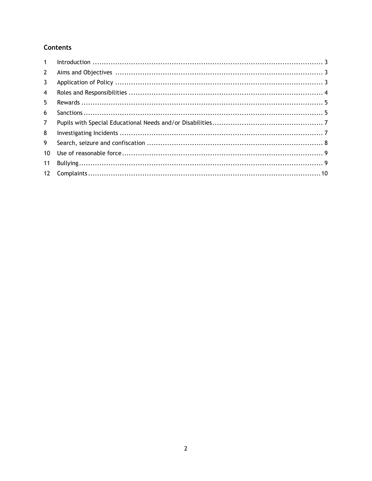# **Contents**

| 1               |  |
|-----------------|--|
| $2^{\circ}$     |  |
| 3               |  |
| $\overline{4}$  |  |
| 5               |  |
| 6               |  |
| $\overline{7}$  |  |
| 8               |  |
| 9               |  |
| 10 <sup>1</sup> |  |
| 11              |  |
| 12              |  |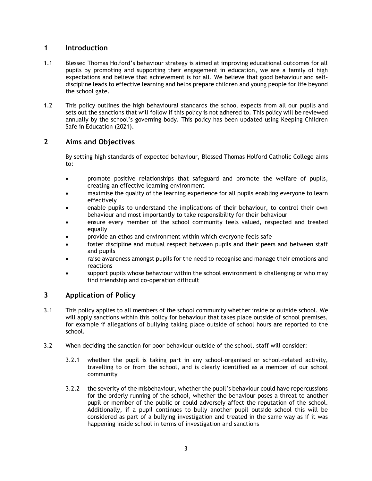# <span id="page-2-0"></span>**1 Introduction**

- 1.1 Blessed Thomas Holford's behaviour strategy is aimed at improving educational outcomes for all pupils by promoting and supporting their engagement in education, we are a family of high expectations and believe that achievement is for all. We believe that good behaviour and selfdiscipline leads to effective learning and helps prepare children and young people for life beyond the school gate.
- 1.2 This policy outlines the high behavioural standards the school expects from all our pupils and sets out the sanctions that will follow if this policy is not adhered to. This policy will be reviewed annually by the school's governing body. This policy has been updated using Keeping Children Safe in Education (2021).

# <span id="page-2-1"></span>**2 Aims and Objectives**

By setting high standards of expected behaviour, Blessed Thomas Holford Catholic College aims to:

- promote positive relationships that safeguard and promote the welfare of pupils, creating an effective learning environment
- maximise the quality of the learning experience for all pupils enabling everyone to learn effectively
- enable pupils to understand the implications of their behaviour, to control their own behaviour and most importantly to take responsibility for their behaviour
- ensure every member of the school community feels valued, respected and treated equally
- provide an ethos and environment within which everyone feels safe
- foster discipline and mutual respect between pupils and their peers and between staff and pupils
- raise awareness amongst pupils for the need to recognise and manage their emotions and reactions
- support pupils whose behaviour within the school environment is challenging or who may find friendship and co-operation difficult

# <span id="page-2-2"></span>**3 Application of Policy**

- 3.1 This policy applies to all members of the school community whether inside or outside school. We will apply sanctions within this policy for behaviour that takes place outside of school premises, for example if allegations of bullying taking place outside of school hours are reported to the school.
- 3.2 When deciding the sanction for poor behaviour outside of the school, staff will consider:
	- 3.2.1 whether the pupil is taking part in any school-organised or school-related activity, travelling to or from the school, and is clearly identified as a member of our school community
	- 3.2.2 the severity of the misbehaviour, whether the pupil's behaviour could have repercussions for the orderly running of the school, whether the behaviour poses a threat to another pupil or member of the public or could adversely affect the reputation of the school. Additionally, if a pupil continues to bully another pupil outside school this will be considered as part of a bullying investigation and treated in the same way as if it was happening inside school in terms of investigation and sanctions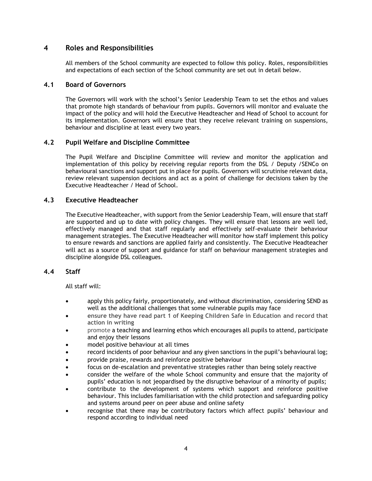# <span id="page-3-0"></span>**4 Roles and Responsibilities**

All members of the School community are expected to follow this policy. Roles, responsibilities and expectations of each section of the School community are set out in detail below.

## **4.1 Board of Governors**

The Governors will work with the school's Senior Leadership Team to set the ethos and values that promote high standards of behaviour from pupils. Governors will monitor and evaluate the impact of the policy and will hold the Executive Headteacher and Head of School to account for its implementation. Governors will ensure that they receive relevant training on suspensions, behaviour and discipline at least every two years.

## **4.2 Pupil Welfare and Discipline Committee**

The Pupil Welfare and Discipline Committee will review and monitor the application and implementation of this policy by receiving regular reports from the DSL / Deputy /SENCo on behavioural sanctions and support put in place for pupils. Governors will scrutinise relevant data, review relevant suspension decisions and act as a point of challenge for decisions taken by the Executive Headteacher / Head of School.

## **4.3 Executive Headteacher**

The Executive Headteacher, with support from the Senior Leadership Team, will ensure that staff are supported and up to date with policy changes. They will ensure that lessons are well led, effectively managed and that staff regularly and effectively self-evaluate their behaviour management strategies. The Executive Headteacher will monitor how staff implement this policy to ensure rewards and sanctions are applied fairly and consistently. The Executive Headteacher will act as a source of support and guidance for staff on behaviour management strategies and discipline alongside DSL colleagues.

#### **4.4 Staff**

All staff will:

- apply this policy fairly, proportionately, and without discrimination, considering SEND as well as the additional challenges that some vulnerable pupils may face
- **ensure they have read part 1 of Keeping Children Safe in Education and record that action in writing**
- promote a teaching and learning ethos which encourages all pupils to attend, participate and enjoy their lessons
- model positive behaviour at all times
- record incidents of poor behaviour and any given sanctions in the pupil's behavioural log;
- provide praise, rewards and reinforce positive behaviour
- focus on de-escalation and preventative strategies rather than being solely reactive
- consider the welfare of the whole School community and ensure that the majority of pupils' education is not jeopardised by the disruptive behaviour of a minority of pupils;
- contribute to the development of systems which support and reinforce positive behaviour. This includes familiarisation with the child protection and safeguarding policy and systems around peer on peer abuse and online safety
- recognise that there may be contributory factors which affect pupils' behaviour and respond according to individual need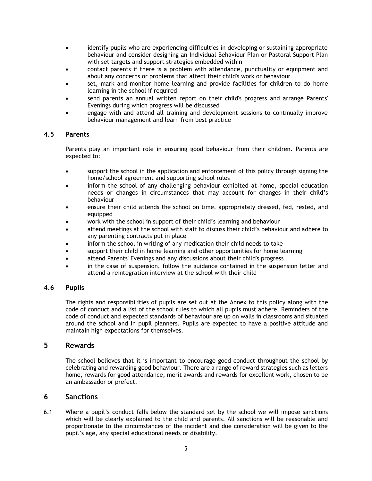- identify pupils who are experiencing difficulties in developing or sustaining appropriate behaviour and consider designing an Individual Behaviour Plan or Pastoral Support Plan with set targets and support strategies embedded within
- contact parents if there is a problem with attendance, punctuality or equipment and about any concerns or problems that affect their child's work or behaviour
- set, mark and monitor home learning and provide facilities for children to do home learning in the school if required
- send parents an annual written report on their child's progress and arrange Parents' Evenings during which progress will be discussed
- engage with and attend all training and development sessions to continually improve behaviour management and learn from best practice

## **4.5 Parents**

Parents play an important role in ensuring good behaviour from their children. Parents are expected to:

- support the school in the application and enforcement of this policy through signing the home/school agreement and supporting school rules
- inform the school of any challenging behaviour exhibited at home, special education needs or changes in circumstances that may account for changes in their child's behaviour
- ensure their child attends the school on time, appropriately dressed, fed, rested, and equipped
- work with the school in support of their child's learning and behaviour
- attend meetings at the school with staff to discuss their child's behaviour and adhere to any parenting contracts put in place
- inform the school in writing of any medication their child needs to take
- support their child in home learning and other opportunities for home learning
- attend Parents' Evenings and any discussions about their child's progress
- in the case of suspension, follow the guidance contained in the suspension letter and attend a reintegration interview at the school with their child

#### **4.6 Pupils**

The rights and responsibilities of pupils are set out at the Annex to this policy along with the code of conduct and a list of the school rules to which all pupils must adhere. Reminders of the code of conduct and expected standards of behaviour are up on walls in classrooms and situated around the school and in pupil planners. Pupils are expected to have a positive attitude and maintain high expectations for themselves.

#### <span id="page-4-0"></span>**5 Rewards**

The school believes that it is important to encourage good conduct throughout the school by celebrating and rewarding good behaviour. There are a range of reward strategies such as letters home, rewards for good attendance, merit awards and rewards for excellent work, chosen to be an ambassador or prefect.

## <span id="page-4-1"></span>**6 Sanctions**

6.1 Where a pupil's conduct falls below the standard set by the school we will impose sanctions which will be clearly explained to the child and parents. All sanctions will be reasonable and proportionate to the circumstances of the incident and due consideration will be given to the pupil's age, any special educational needs or disability.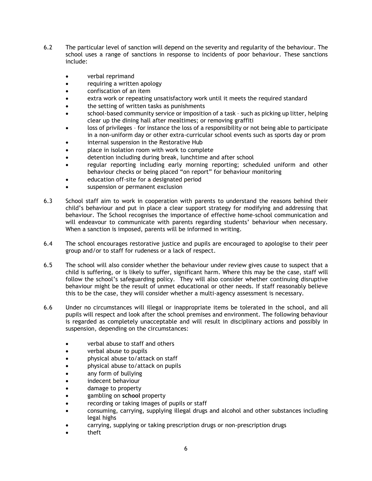- 6.2 The particular level of sanction will depend on the severity and regularity of the behaviour. The school uses a range of sanctions in response to incidents of poor behaviour. These sanctions include:
	- verbal reprimand
	- requiring a written apology
	- confiscation of an item
	- extra work or repeating unsatisfactory work until it meets the required standard
	- the setting of written tasks as punishments
	- school-based community service or imposition of a task such as picking up litter, helping clear up the dining hall after mealtimes; or removing graffiti
	- loss of privileges for instance the loss of a responsibility or not being able to participate in a non-uniform day or other extra-curricular school events such as sports day or prom
	- internal suspension in the Restorative Hub
	- place in isolation room with work to complete
	- detention including during break, lunchtime and after school
	- regular reporting including early morning reporting; scheduled uniform and other behaviour checks or being placed "on report" for behaviour monitoring
	- education off-site for a designated period
	- suspension or permanent exclusion
- 6.3 School staff aim to work in cooperation with parents to understand the reasons behind their child's behaviour and put in place a clear support strategy for modifying and addressing that behaviour. The School recognises the importance of effective home-school communication and will endeavour to communicate with parents regarding students' behaviour when necessary. When a sanction is imposed, parents will be informed in writing.
- 6.4 The school encourages restorative justice and pupils are encouraged to apologise to their peer group and/or to staff for rudeness or a lack of respect.
- 6.5 The school will also consider whether the behaviour under review gives cause to suspect that a child is suffering, or is likely to suffer, significant harm. Where this may be the case, staff will follow the school's safeguarding policy. They will also consider whether continuing disruptive behaviour might be the result of unmet educational or other needs. If staff reasonably believe this to be the case, they will consider whether a multi-agency assessment is necessary.
- 6.6 Under no circumstances will illegal or inappropriate items be tolerated in the school, and all pupils will respect and look after the school premises and environment. The following behaviour is regarded as completely unacceptable and will result in disciplinary actions and possibly in suspension, depending on the circumstances:
	- verbal abuse to staff and others
	- verbal abuse to pupils
	- physical abuse to/attack on staff
	- physical abuse to/attack on pupils
	- any form of bullying
	- indecent behaviour
	- damage to property
	- gambling on **school** property
	- recording or taking images of pupils or staff
	- consuming, carrying, supplying illegal drugs and alcohol and other substances including legal highs
	- carrying, supplying or taking prescription drugs or non-prescription drugs
	- theft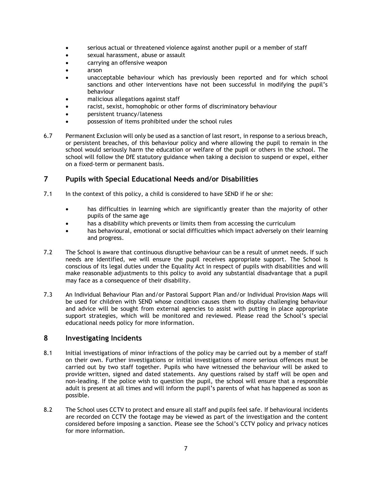- serious actual or threatened violence against another pupil or a member of staff
- sexual harassment, abuse or assault
- carrying an offensive weapon
- arson
- unacceptable behaviour which has previously been reported and for which school sanctions and other interventions have not been successful in modifying the pupil's behaviour
- malicious allegations against staff
- racist, sexist, homophobic or other forms of discriminatory behaviour
- persistent truancy/lateness
- possession of items prohibited under the school rules
- 6.7 Permanent Exclusion will only be used as a sanction of last resort, in response to a serious breach, or persistent breaches, of this behaviour policy and where allowing the pupil to remain in the school would seriously harm the education or welfare of the pupil or others in the school. The school will follow the DfE statutory guidance when taking a decision to suspend or expel, either on a fixed-term or permanent basis.

## <span id="page-6-0"></span>**7 Pupils with Special Educational Needs and/or Disabilities**

- 7.1 In the context of this policy, a child is considered to have SEND if he or she:
	- has difficulties in learning which are significantly greater than the majority of other pupils of the same age
	- has a disability which prevents or limits them from accessing the curriculum
	- has behavioural, emotional or social difficulties which impact adversely on their learning and progress.
- 7.2 The School is aware that continuous disruptive behaviour can be a result of unmet needs. If such needs are identified, we will ensure the pupil receives appropriate support. The School is conscious of its legal duties under the Equality Act in respect of pupils with disabilities and will make reasonable adjustments to this policy to avoid any substantial disadvantage that a pupil may face as a consequence of their disability.
- 7.3 An Individual Behaviour Plan and/or Pastoral Support Plan and/or Individual Provision Maps will be used for children with SEND whose condition causes them to display challenging behaviour and advice will be sought from external agencies to assist with putting in place appropriate support strategies, which will be monitored and reviewed. Please read the School's special educational needs policy for more information.

## <span id="page-6-1"></span>**8 Investigating Incidents**

- 8.1 Initial investigations of minor infractions of the policy may be carried out by a member of staff on their own. Further investigations or initial investigations of more serious offences must be carried out by two staff together. Pupils who have witnessed the behaviour will be asked to provide written, signed and dated statements. Any questions raised by staff will be open and non-leading. If the police wish to question the pupil, the school will ensure that a responsible adult is present at all times and will inform the pupil's parents of what has happened as soon as possible.
- 8.2 The School uses CCTV to protect and ensure all staff and pupils feel safe. If behavioural incidents are recorded on CCTV the footage may be viewed as part of the investigation and the content considered before imposing a sanction. Please see the School's CCTV policy and privacy notices for more information.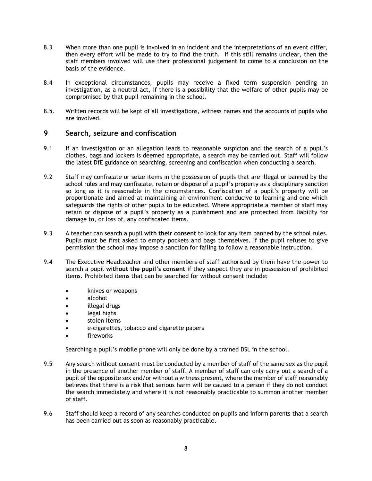- 8.3 When more than one pupil is involved in an incident and the interpretations of an event differ, then every effort will be made to try to find the truth. If this still remains unclear, then the staff members involved will use their professional judgement to come to a conclusion on the basis of the evidence.
- 8.4 In exceptional circumstances, pupils may receive a fixed term suspension pending an investigation, as a neutral act, if there is a possibility that the welfare of other pupils may be compromised by that pupil remaining in the school.
- 8.5. Written records will be kept of all investigations, witness names and the accounts of pupils who are involved.

## <span id="page-7-0"></span>**9 Search, seizure and confiscation**

- 9.1 If an investigation or an allegation leads to reasonable suspicion and the search of a pupil's clothes, bags and lockers is deemed appropriate, a search may be carried out. Staff will follow the latest DfE guidance on searching, screening and confiscation when conducting a search.
- 9.2 Staff may confiscate or seize items in the possession of pupils that are illegal or banned by the school rules and may confiscate, retain or dispose of a pupil's property as a disciplinary sanction so long as it is reasonable in the circumstances. Confiscation of a pupil's property will be proportionate and aimed at maintaining an environment conducive to learning and one which safeguards the rights of other pupils to be educated. Where appropriate a member of staff may retain or dispose of a pupil's property as a punishment and are protected from liability for damage to, or loss of, any confiscated items.
- 9.3 A teacher can search a pupil **with their consent** to look for any item banned by the school rules. Pupils must be first asked to empty pockets and bags themselves. If the pupil refuses to give permission the school may impose a sanction for failing to follow a reasonable instruction.
- 9.4 The Executive Headteacher and other members of staff authorised by them have the power to search a pupil **without the pupil's consent** if they suspect they are in possession of prohibited items. Prohibited items that can be searched for without consent include:
	- knives or weapons
	- alcohol
	- illegal drugs
	- legal highs
	- stolen items
	- e-cigarettes, tobacco and cigarette papers
	- fireworks

Searching a pupil's mobile phone will only be done by a trained DSL in the school.

- 9.5 Any search without consent must be conducted by a member of staff of the same sex as the pupil in the presence of another member of staff. A member of staff can only carry out a search of a pupil of the opposite sex and/or without a witness present, where the member of staff reasonably believes that there is a risk that serious harm will be caused to a person if they do not conduct the search immediately and where it is not reasonably practicable to summon another member of staff.
- 9.6 Staff should keep a record of any searches conducted on pupils and inform parents that a search has been carried out as soon as reasonably practicable.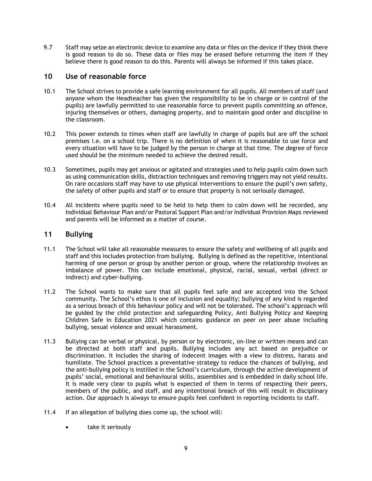9.7 Staff may seize an electronic device to examine any data or files on the device if they think there is good reason to do so. These data or files may be erased before returning the item if they believe there is good reason to do this. Parents will always be informed if this takes place.

## <span id="page-8-0"></span>**10 Use of reasonable force**

- 10.1 The School strives to provide a safe learning environment for all pupils. All members of staff (and anyone whom the Headteacher has given the responsibility to be in charge or in control of the pupils) are lawfully permitted to use reasonable force to prevent pupils committing an offence, injuring themselves or others, damaging property, and to maintain good order and discipline in the classroom.
- 10.2 This power extends to times when staff are lawfully in charge of pupils but are off the school premises i.e. on a school trip. There is no definition of when it is reasonable to use force and every situation will have to be judged by the person in charge at that time. The degree of force used should be the minimum needed to achieve the desired result.
- 10.3 Sometimes, pupils may get anxious or agitated and strategies used to help pupils calm down such as using communication skills, distraction techniques and removing triggers may not yield results. On rare occasions staff may have to use physical interventions to ensure the pupil's own safety, the safety of other pupils and staff or to ensure that property is not seriously damaged.
- 10.4 All incidents where pupils need to be held to help them to calm down will be recorded, any Individual Behaviour Plan and/or Pastoral Support Plan and/or Individual Provision Maps reviewed and parents will be informed as a matter of course.

# <span id="page-8-1"></span>**11 Bullying**

- 11.1 The School will take all reasonable measures to ensure the safety and wellbeing of all pupils and staff and this includes protection from bullying. Bullying is defined as the repetitive, intentional harming of one person or group by another person or group, where the relationship involves an imbalance of power. This can include emotional, physical, racial, sexual, verbal (direct or indirect) and cyber-bullying.
- 11.2 The School wants to make sure that all pupils feel safe and are accepted into the School community. The School's ethos is one of inclusion and equality; bullying of any kind is regarded as a serious breach of this behaviour policy and will not be tolerated. The school's approach will be guided by the child protection and safeguarding Policy, Anti Bullying Policy and Keeping Children Safe in Education 2021 which contains guidance on peer on peer abuse including bullying, sexual violence and sexual harassment.
- 11.3 Bullying can be verbal or physical, by person or by electronic, on-line or written means and can be directed at both staff and pupils. Bullying includes any act based on prejudice or discrimination. It includes the sharing of indecent images with a view to distress, harass and humiliate. The School practices a preventative strategy to reduce the chances of bullying, and the anti-bullying policy is instilled in the School's curriculum, through the active development of pupils' social, emotional and behavioural skills, assemblies and is embedded in daily school life. It is made very clear to pupils what is expected of them in terms of respecting their peers, members of the public, and staff, and any intentional breach of this will result in disciplinary action. Our approach is always to ensure pupils feel confident in reporting incidents to staff.
- 11.4 If an allegation of bullying does come up, the school will:
	- take it seriously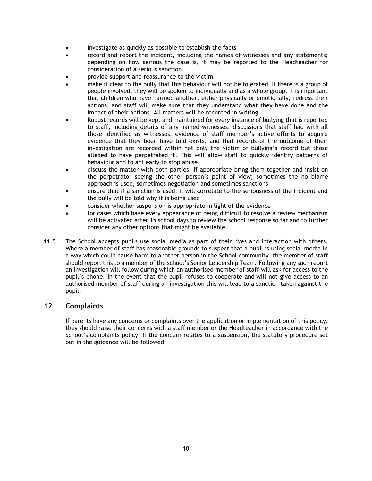- investigate as quickly as possible to establish the facts
- record and report the incident, including the names of witnesses and any statements; depending on how serious the case is, it may be reported to the Headteacher for consideration of a serious sanction
- provide support and reassurance to the victim
- make it clear to the bully that this behaviour will not be tolerated. If there is a group of people involved, they will be spoken to individually and as a whole group. It is important that children who have harmed another, either physically or emotionally, redress their actions, and staff will make sure that they understand what they have done and the impact of their actions. All matters will be recorded in writing.
- Robust records will be kept and maintained for every instance of bullying that is reported to staff, including details of any named witnesses, discussions that staff had with all those identified as witnesses, evidence of staff member's active efforts to acquire evidence that they been have told exists, and that records of the outcome of their investigation are recorded within not only the victim of bullying's record but those alleged to have perpetrated it. This will allow staff to quickly identify patterns of behaviour and to act early to stop abuse.
- discuss the matter with both parties, if appropriate bring them together and insist on the perpetrator seeing the other person's point of view; sometimes the no blame approach is used, sometimes negotiation and sometimes sanctions
- ensure that if a sanction is used, it will correlate to the seriousness of the incident and the bully will be told why it is being used
- consider whether suspension is appropriate in light of the evidence
- for cases which have every appearance of being difficult to resolve a review mechanism will be activated after 15 school days to review the school response so far and to further consider any other options that might be available.
- 11.5 The School accepts pupils use social media as part of their lives and interaction with others. Where a member of staff has reasonable grounds to suspect that a pupil is using social media in a way which could cause harm to another person in the School community, the member of staff should report this to a member of the school's Senior Leadership Team. Following any such report an investigation will follow during which an authorised member of staff will ask for access to the pupil's phone. In the event that the pupil refuses to cooperate and will not give access to an authorised member of staff during an investigation this will lead to a sanction taken against the pupil.

## <span id="page-9-0"></span>**12 Complaints**

If parents have any concerns or complaints over the application or implementation of this policy, they should raise their concerns with a staff member or the Headteacher in accordance with the School's complaints policy. If the concern relates to a suspension, the statutory procedure set out in the guidance will be followed.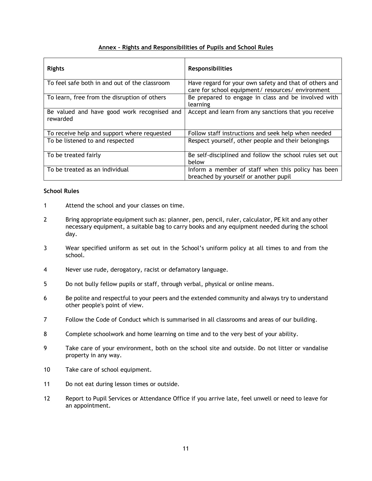## **Annex – Rights and Responsibilities of Pupils and School Rules**

| <b>Rights</b>                                           | <b>Responsibilities</b>                                                                                     |
|---------------------------------------------------------|-------------------------------------------------------------------------------------------------------------|
| To feel safe both in and out of the classroom           | Have regard for your own safety and that of others and<br>care for school equipment/ resources/ environment |
| To learn, free from the disruption of others            | Be prepared to engage in class and be involved with<br>learning                                             |
| Be valued and have good work recognised and<br>rewarded | Accept and learn from any sanctions that you receive                                                        |
| To receive help and support where requested             | Follow staff instructions and seek help when needed                                                         |
| To be listened to and respected                         | Respect yourself, other people and their belongings                                                         |
| To be treated fairly                                    | Be self-disciplined and follow the school rules set out<br>below                                            |
| To be treated as an individual                          | Inform a member of staff when this policy has been<br>breached by yourself or another pupil                 |

#### **School Rules**

- 1 Attend the school and your classes on time.
- 2 Bring appropriate equipment such as: planner, pen, pencil, ruler, calculator, PE kit and any other necessary equipment, a suitable bag to carry books and any equipment needed during the school day.
- 3 Wear specified uniform as set out in the School's uniform policy at all times to and from the school.
- 4 Never use rude, derogatory, racist or defamatory language.
- 5 Do not bully fellow pupils or staff, through verbal, physical or online means.
- 6 Be polite and respectful to your peers and the extended community and always try to understand other people's point of view.
- 7 Follow the Code of Conduct which is summarised in all classrooms and areas of our building.
- 8 Complete schoolwork and home learning on time and to the very best of your ability.
- 9 Take care of your environment, both on the school site and outside. Do not litter or vandalise property in any way.
- 10 Take care of school equipment.
- 11 Do not eat during lesson times or outside.
- 12 Report to Pupil Services or Attendance Office if you arrive late, feel unwell or need to leave for an appointment.